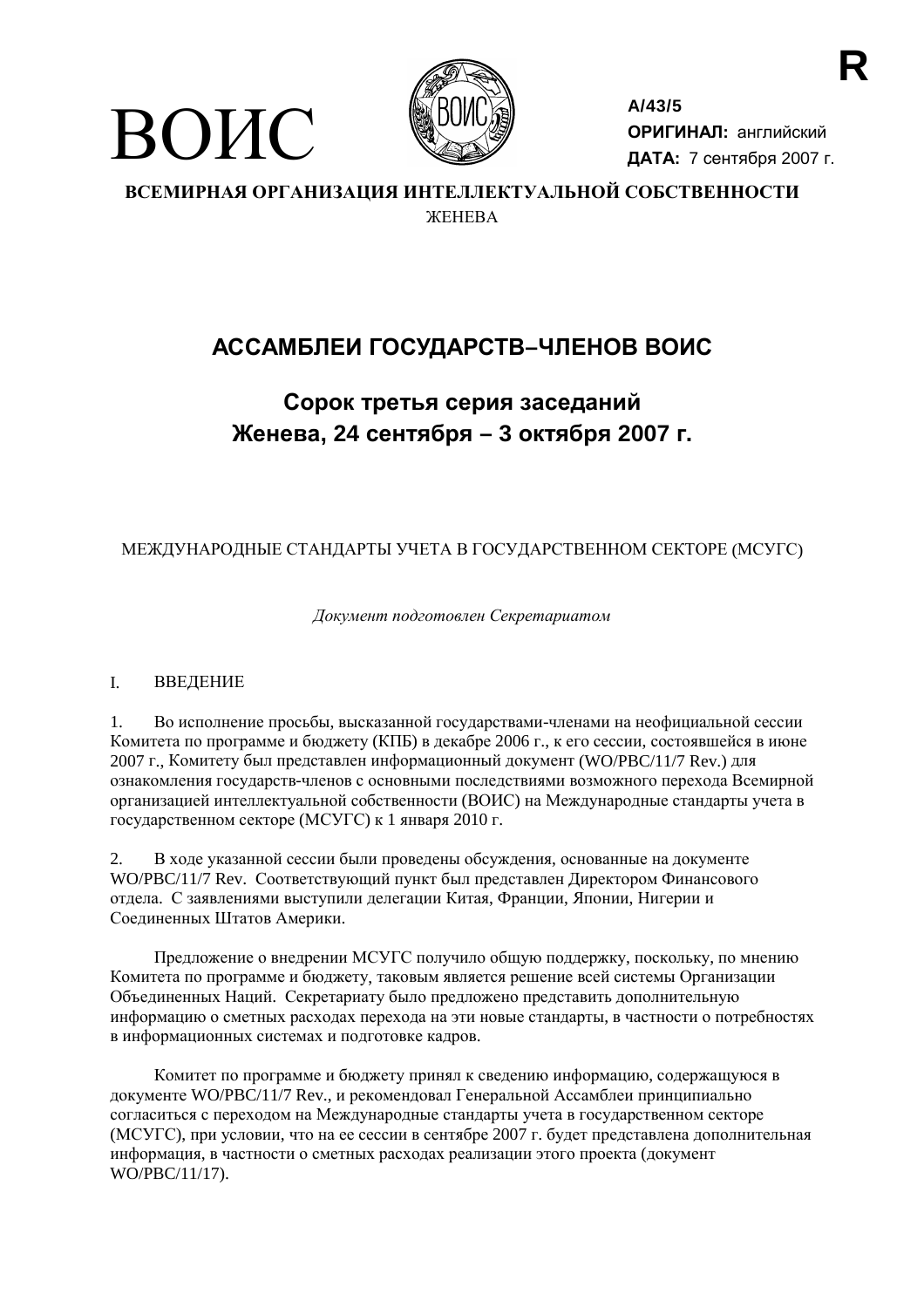



 $A/43/5$ ОРИГИНАЛ: английский ДАТА: 7 сентября 2007 г.

ВСЕМИРНАЯ ОРГАНИЗАЦИЯ ИНТЕЛЛЕКТУАЛЬНОЙ СОБСТВЕННОСТИ *WEHEBA* 

# АССАМБЛЕИ ГОСУДАРСТВ-ЧЛЕНОВ ВОИС

## Сорок третья серия заседаний Женева, 24 сентября - 3 октября 2007 г.

## МЕЖДУНАРОДНЫЕ СТАНДАРТЫ УЧЕТА В ГОСУДАРСТВЕННОМ СЕКТОРЕ (МСУГС)

Документ подготовлен Секретариатом

#### $\mathbf{L}$ ВВЕДЕНИЕ

Во исполнение просьбы, высказанной государствами-членами на неофициальной сессии  $1.$ Комитета по программе и бюлжету (КПБ) в лекабре 2006 г., к его сессии, состоявшейся в июне 2007 г., Комитету был представлен информационный документ (WO/PBC/11/7 Rev.) для ознакомления государств-членов с основными последствиями возможного перехода Всемирной организацией интеллектуальной собственности (ВОИС) на Международные стандарты учета в государственном секторе (МСУГС) к 1 января 2010 г.

В ходе указанной сессии были проведены обсуждения, основанные на документе 2. WO/PBC/11/7 Rev. Соответствующий пункт был представлен Лиректором Финансового отдела. С заявлениями выступили делегации Китая, Франции, Японии, Нигерии и Соединенных Штатов Америки.

Предложение о внедрении МСУГС получило общую поддержку, поскольку, по мнению Комитета по программе и бюджету, таковым является решение всей системы Организации Объединенных Наций. Секретариату было предложено представить дополнительную информацию о сметных расходах перехода на эти новые стандарты, в частности о потребностях в информационных системах и подготовке кадров.

Комитет по программе и бюджету принял к сведению информацию, содержащуюся в документе WO/PBC/11/7 Rev., и рекомендовал Генеральной Ассамблеи принципиально согласиться с переходом на Международные стандарты учета в государственном секторе (МСУГС), при условии, что на ее сессии в сентябре 2007 г. будет представлена дополнительная информация, в частности о сметных расходах реализации этого проекта (документ WO/PBC/11/17).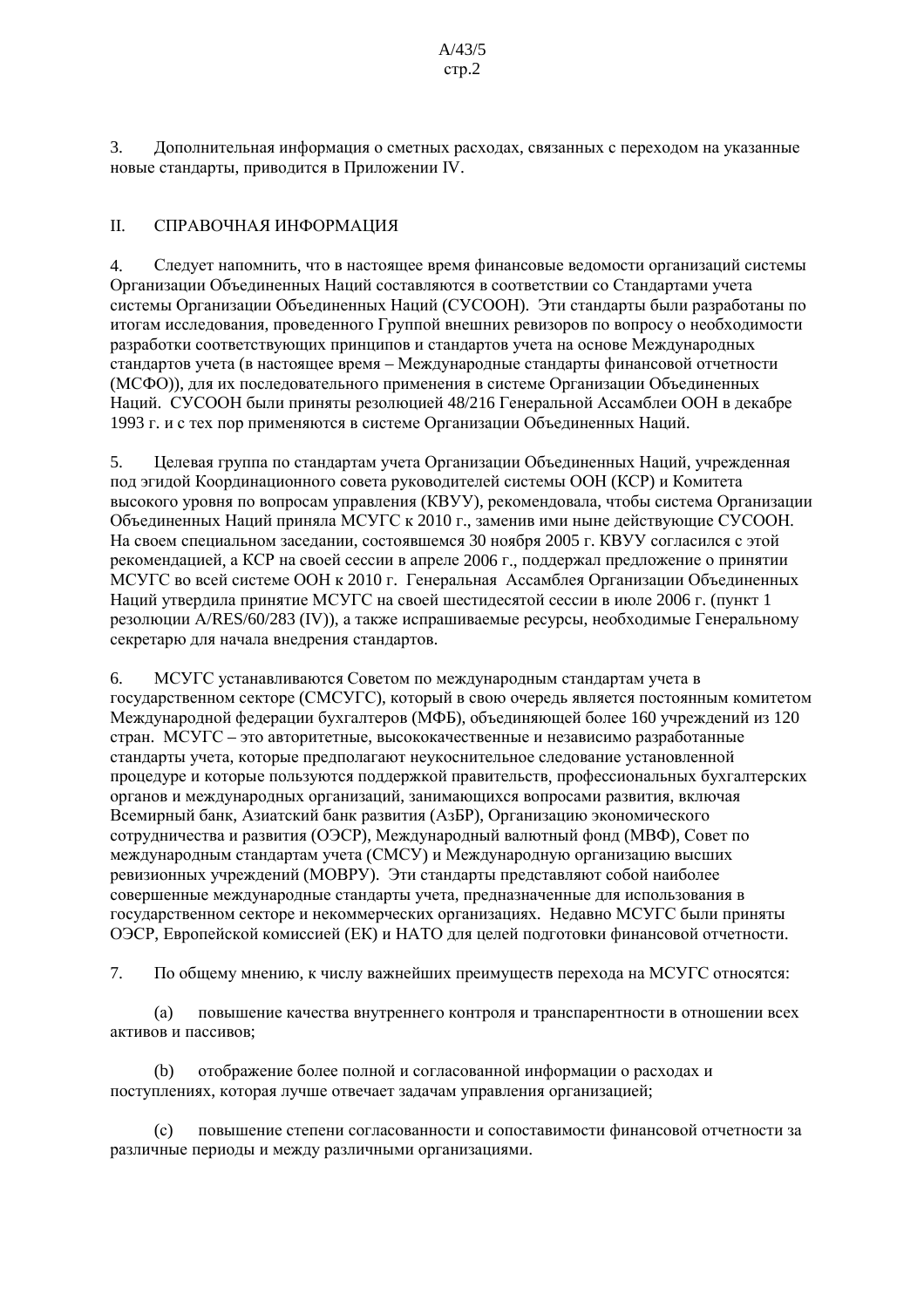3. Дополнительная информация о сметных расходах, связанных с переходом на указанные новые стандарты, приводится в Приложении IV.

#### $\Pi$ . СПРАВОЧНАЯ ИНФОРМАЦИЯ

 $\overline{4}$ . Следует напомнить, что в настоящее время финансовые ведомости организаций системы Организации Объединенных Наций составляются в соответствии со Стандартами учета системы Организации Объединенных Наций (СУСООН). Эти стандарты были разработаны по итогам исследования, проведенного Группой внешних ревизоров по вопросу о необходимости разработки соответствующих принципов и стандартов учета на основе Международных стандартов учета (в настоящее время - Международные стандарты финансовой отчетности (МСФО)), для их последовательного применения в системе Организации Объединенных Наций. СУСООН были приняты резолюцией 48/216 Генеральной Ассамблеи ООН в декабре 1993 г. и с тех пор применяются в системе Организации Объелиненных Наций.

Целевая группа по стандартам учета Организации Объединенных Наций, учрежденная 5. под эгидой Координационного совета руководителей системы ООН (КСР) и Комитета высокого уровня по вопросам управления (КВУУ), рекомендовала, чтобы система Организации Объединенных Наций приняла МСУГС к 2010 г., заменив ими ныне действующие СУСООН. На своем специальном заседании, состоявшемся 30 ноября 2005 г. КВУУ согласился с этой рекомендацией, а КСР на своей сессии в апреле 2006 г., поддержал предложение о принятии МСУГС во всей системе ООН к 2010 г. Генеральная Ассамблея Организации Объединенных Наций утвердила принятие МСУГС на своей шестидесятой сессии в июле 2006 г. (пункт 1 резолюции A/RES/60/283 (IV)), а также испрашиваемые ресурсы, необходимые Генеральному секретарю для начала внедрения стандартов.

МСУГС устанавливаются Советом по международным стандартам учета в 6. государственном секторе (СМСУГС), который в свою очередь является постоянным комитетом Международной федерации бухгалтеров (МФБ), объединяющей более 160 учреждений из 120 стран. МСУГС – это авторитетные, высококачественные и независимо разработанные стандарты учета, которые предполагают неукоснительное следование установленной процедуре и которые пользуются поддержкой правительств, профессиональных бухгалтерских органов и международных организаций, занимающихся вопросами развития, включая Всемирный банк, Азиатский банк развития (АзБР), Организацию экономического сотрудничества и развития (ОЭСР), Международный валютный фонд (МВФ), Совет по международным стандартам учета (СМСУ) и Международную организацию высших ревизионных учреждений (МОВРУ). Эти стандарты представляют собой наиболее совершенные международные стандарты учета, предназначенные для использования в государственном секторе и некоммерческих организациях. Недавно МСУГС были приняты ОЭСР. Европейской комиссией (ЕК) и НАТО для целей подготовки финансовой отчетности.

 $7<sub>1</sub>$ По общему мнению, к числу важнейших преимуществ перехода на МСУГС относятся:

повышение качества внутреннего контроля и транспарентности в отношении всех  $(a)$ активов и пассивов:

отображение более полной и согласованной информации о расходах и (b) поступлениях, которая лучше отвечает залачам управления организацией;

 $(c)$ повышение степени согласованности и сопоставимости финансовой отчетности за различные периоды и между различными организациями.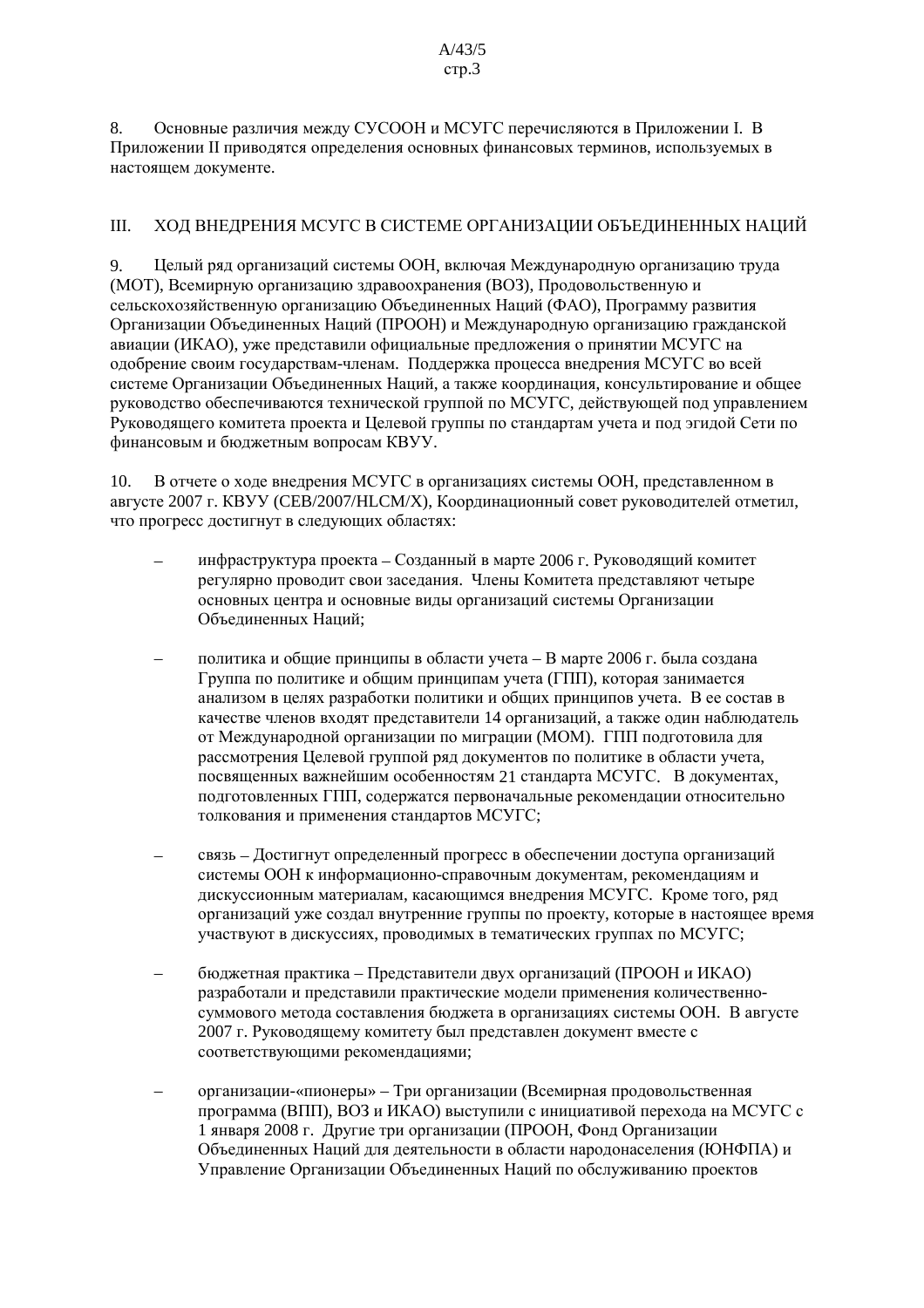8. Основные различия между СУСООН и МСУГС перечисляются в Приложении I. В Приложении II приводятся определения основных финансовых терминов, используемых в настоящем локументе.

#### III. ХОД ВНЕДРЕНИЯ МСУГС В СИСТЕМЕ ОРГАНИЗАЦИИ ОБЪЕДИНЕННЫХ НАЦИЙ

Пелый ряд организаций системы ООН, включая Международную организацию труда 9. (МОТ), Всемирную организацию здравоохранения (ВОЗ), Продовольственную и сельскохозяйственную организацию Объединенных Наций (ФАО), Программу развития Организации Объединенных Наций (ПРООН) и Международную организацию гражданской авиации (ИКАО), уже представили официальные предложения о принятии МСУГС на одобрение своим государствам-членам. Поддержка процесса внедрения МСУГС во всей системе Организации Объединенных Наций, а также координация, консультирование и общее руководство обеспечиваются технической группой по МСУГС, действующей под управлением Руководящего комитета проекта и Целевой группы по стандартам учета и под эгидой Сети по финансовым и бюджетным вопросам КВУУ.

В отчете о ходе внедрения МСУГС в организациях системы ООН, представленном в  $10<sub>1</sub>$ августе 2007 г. КВУУ (СЕВ/2007/НLСМ/Х), Координационный совет руководителей отметил, что прогресс достигнут в следующих областях:

- инфраструктура проекта Созданный в марте 2006 г. Руководящий комитет регулярно проводит свои заседания. Члены Комитета представляют четыре основных центра и основные виды организаций системы Организации Объелиненных Наций:
- политика и общие принципы в области учета В марте 2006 г. была создана Группа по политике и общим принципам учета (ГПП), которая занимается анализом в целях разработки политики и общих принципов учета. В ее состав в качестве членов входят представители 14 организаций, а также один наблюдатель от Международной организации по миграции (МОМ). ГПП подготовила для рассмотрения Целевой группой ряд документов по политике в области учета, посвященных важнейшим особенностям 21 стандарта МСУГС. В документах, подготовленных ГПП, содержатся первоначальные рекомендации относительно толкования и применения стандартов МСУГС;
- связь Достигнут определенный прогресс в обеспечении доступа организаций системы ООН к информационно-справочным документам, рекомендациям и лискуссионным материалам, касающимся внелрения МСУГС. Кроме того, ряд организаций уже создал внутренние группы по проекту, которые в настоящее время участвуют в лискуссиях, проволимых в тематических группах по МСУГС;
- бюджетная практика Представители двух организаций (ПРООН и ИКАО) разработали и представили практические модели применения количественносуммового метода составления бюджета в организациях системы ООН. В августе 2007 г. Руководящему комитету был представлен документ вместе с соответствующими рекомендациями;
- организации-«пионеры» Три организации (Всемирная продовольственная программа (ВПП), ВОЗ и ИКАО) выступили с инициативой перехода на МСУГС с 1 января 2008 г. Другие три организации (ПРООН, Фонд Организации Объединенных Наций для деятельности в области народонаселения (ЮНФПА) и Управление Организации Объединенных Наций по обслуживанию проектов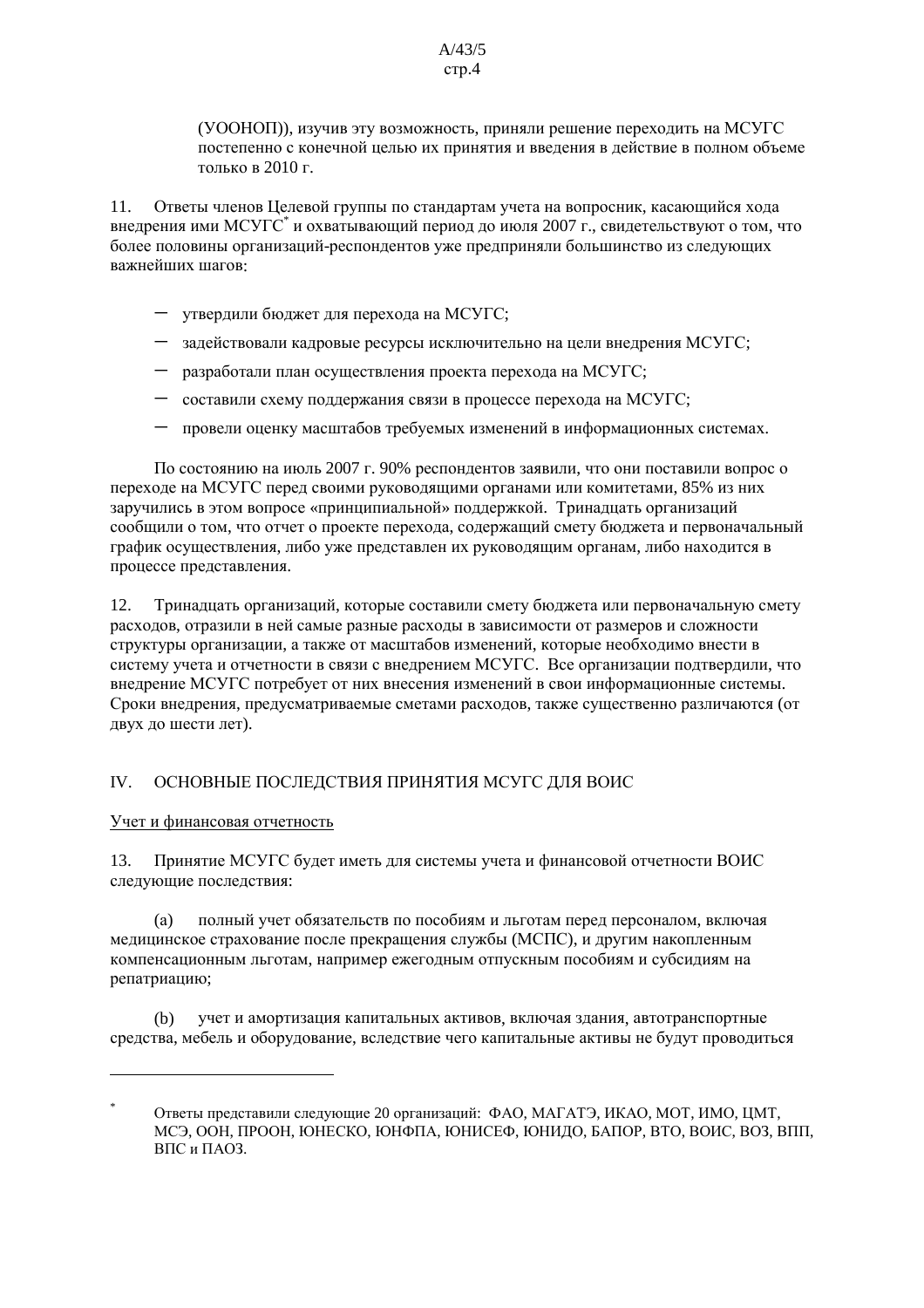(УООНОП)), изучив эту возможность, приняли решение переходить на МСУГС постепенно с конечной целью их принятия и введения в действие в полном объеме только в 2010 г.

Ответы членов Целевой группы по стандартам учета на вопросник, касающийся хода  $11.$ внедрения ими МСУГС<sup>\*</sup> и охватывающий период до июля 2007 г., свидетельствуют о том, что более половины организаций-респондентов уже предприняли большинство из следующих важнейших шагов:

- утвердили бюджет для перехода на МСУГС;
- задействовали кадровые ресурсы исключительно на цели внедрения МСУГС;
- $-$  разработали план осуществления проекта перехода на МСУГС;
- составили схему поддержания связи в процессе перехода на МСУГС;
- провели оценку масштабов требуемых изменений в информационных системах.

По состоянию на июль 2007 г. 90% респондентов заявили, что они поставили вопрос о переходе на МСУГС перед своими руководящими органами или комитетами. 85% из них заручились в этом вопросе «принципиальной» поддержкой. Тринадцать организаций сообщили о том, что отчет о проекте перехода, содержащий смету бюджета и первоначальный график осуществления, либо уже представлен их руководящим органам, либо находится в процессе представления.

12. Тринадцать организаций, которые составили смету бюджета или первоначальную смету расходов, отразили в ней самые разные расходы в зависимости от размеров и сложности структуры организации, а также от масштабов изменений, которые необходимо внести в систему учета и отчетности в связи с внедрением МСУГС. Все организации подтвердили, что внедрение МСУГС потребует от них внесения изменений в свои информационные системы. Сроки внедрения, предусматриваемые сметами расходов, также существенно различаются (от двух до шести лет).

#### ОСНОВНЫЕ ПОСЛЕДСТВИЯ ПРИНЯТИЯ МСУГС ДЛЯ ВОИС  $IV.$

#### Учет и финансовая отчетность

Принятие МСУГС будет иметь для системы учета и финансовой отчетности ВОИС  $13<sup>7</sup>$ следующие последствия:

полный учет обязательств по пособиям и льготам перед персоналом, включая  $(a)$ медицинское страхование после прекращения службы (МСПС), и другим накопленным компенсационным льготам, например ежегодным отпускным пособиям и субсидиям на репатриацию;

 $(b)$ учет и амортизация капитальных активов, включая здания, автотранспортные средства, мебель и оборудование, вследствие чего капитальные активы не будут проводиться

Ответы представили следующие 20 организаций: ФАО, МАГАТЭ, ИКАО, МОТ, ИМО. ШМТ. МСЭ, ООН, ПРООН, ЮНЕСКО, ЮНФПА, ЮНИСЕФ, ЮНИДО, БАПОР, ВТО, ВОИС, ВОЗ, ВПП, ВПС и ПАОЗ.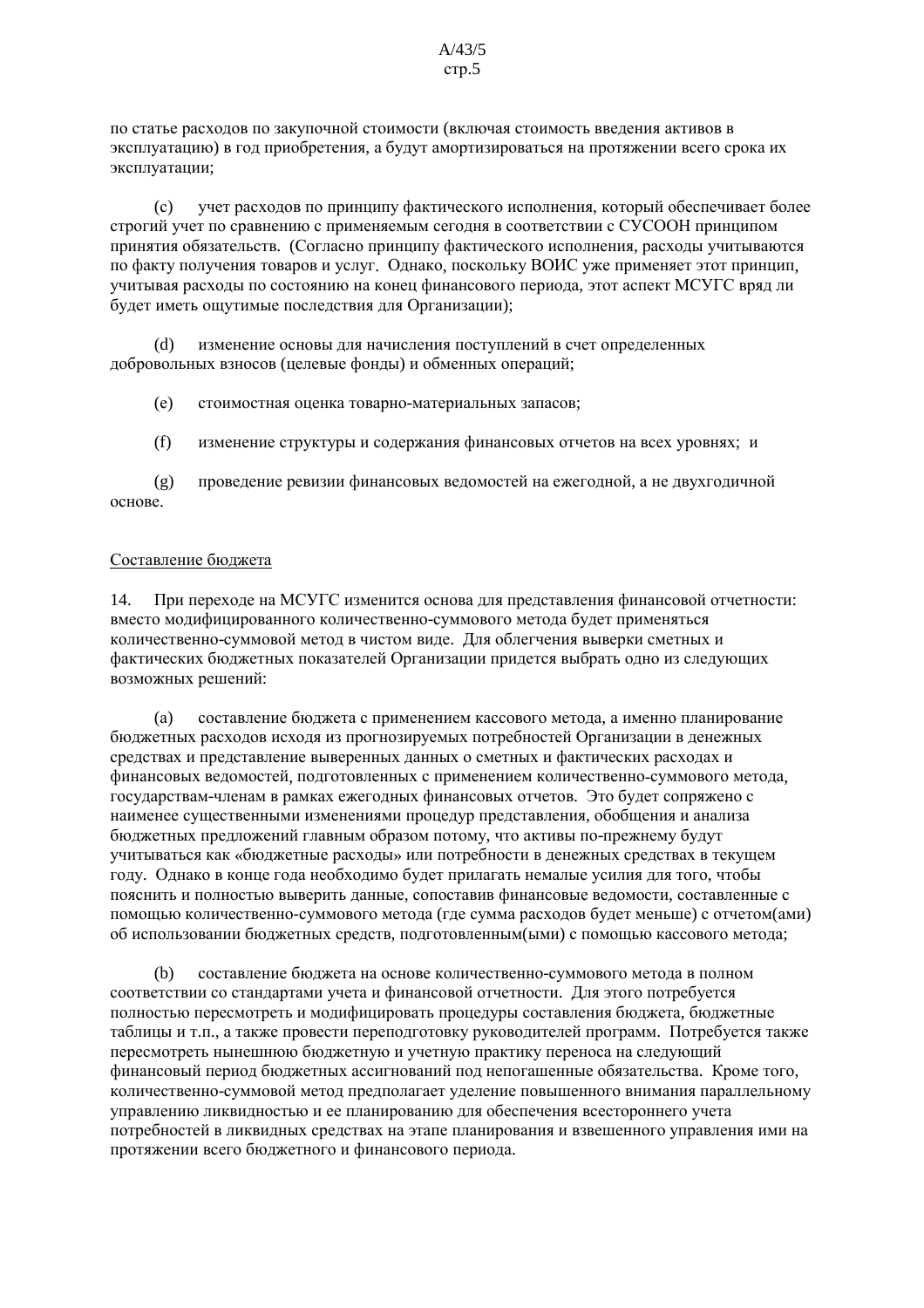по статье расходов по закупочной стоимости (включая стоимость введения активов в эксплуатацию) в год приобретения, а будут амортизироваться на протяжении всего срока их эксплуатации:

учет расходов по принципу фактического исполнения, который обеспечивает более  $(c)$ строгий учет по сравнению с применяемым сегодня в соответствии с СУСООН принципом принятия обязательств. (Согласно принципу фактического исполнения, расходы учитываются по факту получения товаров и услуг. Однако, поскольку ВОИС уже применяет этот принцип, учитывая расходы по состоянию на конец финансового периода, этот аспект МСУГС вряд ли будет иметь ощутимые последствия для Организации);

изменение основы для начисления поступлений в счет определенных добровольных взносов (целевые фонды) и обменных операций;

 $(e)$ стоимостная оценка товарно-материальных запасов;

 $(f)$ изменение структуры и содержания финансовых отчетов на всех уровнях; и

проведение ревизии финансовых ведомостей на ежегодной, а не двухгодичной  $(g)$ основе.

#### Составление бюджета

14. При переходе на МСУГС изменится основа для представления финансовой отчетности: вместо модифицированного количественно-суммового метода будет применяться количественно-суммовой метол в чистом виле. Лля облегчения выверки сметных и фактических бюджетных показателей Организации придется выбрать одно из следующих возможных решений:

составление бюджета с применением кассового метода, а именно планирование  $(a)$ бюджетных расходов исходя из прогнозируемых потребностей Организации в денежных средствах и представление выверенных данных о сметных и фактических расходах и финансовых ведомостей, подготовленных с применением количественно-суммового метода, государствам-членам в рамках ежегодных финансовых отчетов. Это будет сопряжено с наименее существенными изменениями процедур представления, обобщения и анализа бюджетных предложений главным образом потому, что активы по-прежнему будут учитываться как «бюджетные расходы» или потребности в денежных средствах в текущем году. Однако в конце года необходимо будет прилагать немалые усилия для того, чтобы пояснить и полностью выверить данные, сопоставив финансовые веломости, составленные с помощью количественно-суммового метода (где сумма расходов будет меньше) с отчетом(ами) об использовании бюджетных средств, полготовленным (ыми) с помощью кассового метода;

составление бюджета на основе количественно-суммового метода в полном (b) соответствии со стандартами учета и финансовой отчетности. Для этого потребуется полностью пересмотреть и модифицировать процедуры составления бюджета, бюджетные таблицы и т.п., а также провести переподготовку руководителей программ. Потребуется также пересмотреть нынешнюю бюджетную и учетную практику переноса на следующий финансовый период бюджетных ассигнований под непогашенные обязательства. Кроме того, количественно-суммовой метод предполагает уделение повышенного внимания параллельному управлению ликвидностью и ее планированию для обеспечения всестороннего учета потребностей в ликвидных средствах на этапе планирования и взвешенного управления ими на протяжении всего бюджетного и финансового периода.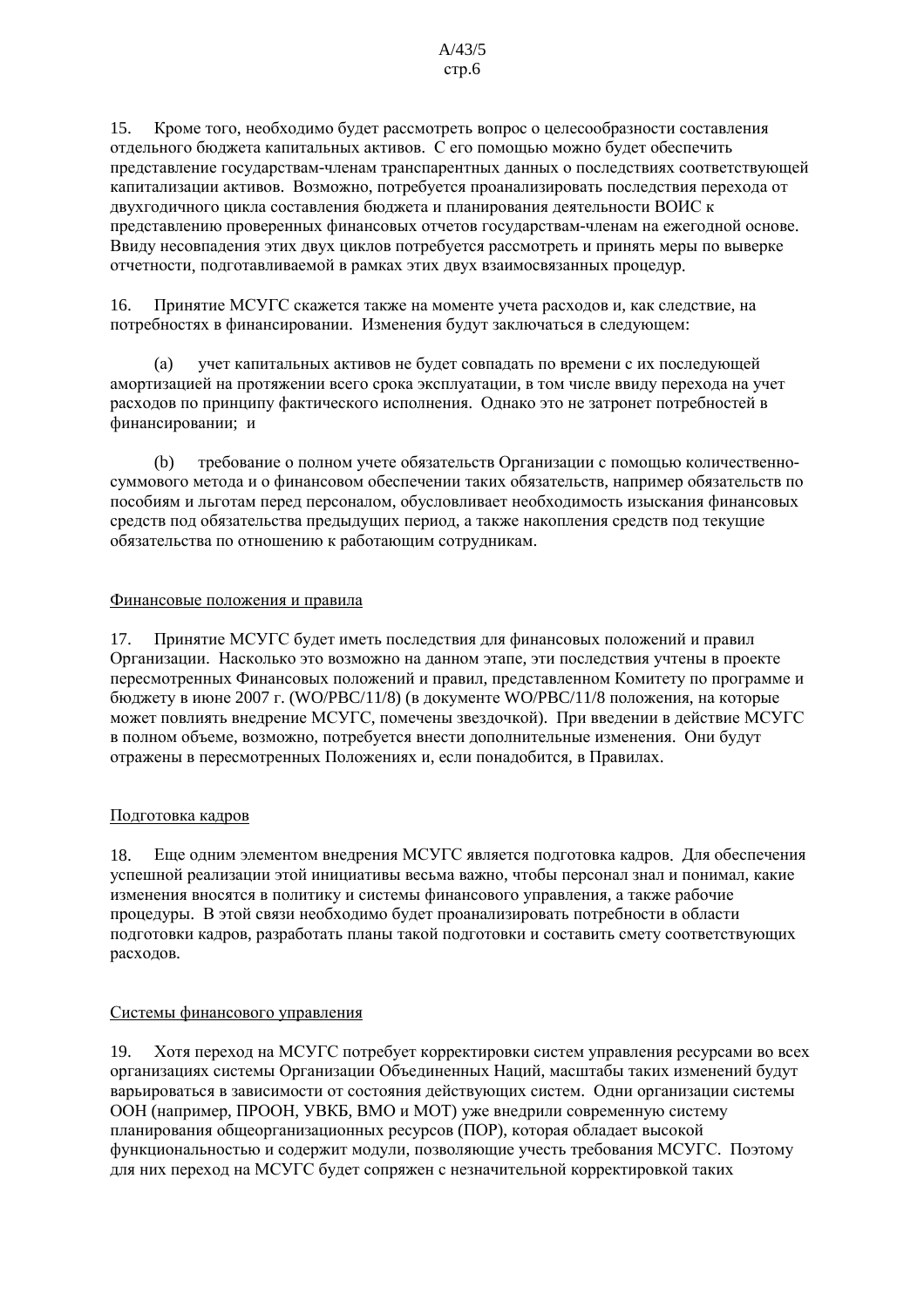15. Кроме того, необходимо будет рассмотреть вопрос о целесообразности составления отдельного бюджета капитальных активов. С его помощью можно будет обеспечить представление государствам-членам транспарентных данных о последствиях соответствующей капитализации активов. Возможно, потребуется проанализировать последствия перехода от двухгодичного цикла составления бюджета и планирования деятельности ВОИС к представлению проверенных финансовых отчетов государствам-членам на ежегодной основе. Ввиду несовпадения этих двух циклов потребуется рассмотреть и принять меры по выверке отчетности, полготавливаемой в рамках этих лвух взаимосвязанных процелур.

Принятие МСУГС скажется также на моменте учета расходов и, как следствие, на 16. потребностях в финансировании. Изменения будут заключаться в следующем:

 $(a)$ учет капитальных активов не будет совпадать по времени с их последующей амортизацией на протяжении всего срока эксплуатации, в том числе ввиду перехода на учет расходов по принципу фактического исполнения. Однако это не затронет потребностей в финансировании; и

требование о полном учете обязательств Организации с помощью количественно- $(b)$ суммового метода и о финансовом обеспечении таких обязательств, например обязательств по пособиям и льготам перед персоналом, обусловливает необходимость изыскания финансовых средств под обязательства предыдущих период, а также накопления средств под текущие обязательства по отношению к работающим сотрудникам.

#### Финансовые положения и правила

Принятие МСУГС булет иметь послелствия для финансовых положений и правил 17. Организации. Насколько это возможно на данном этапе, эти последствия учтены в проекте пересмотренных Финансовых положений и правил, представленном Комитету по программе и бюджету в июне 2007 г. (WO/PBC/11/8) (в документе WO/PBC/11/8 положения, на которые может повлиять внедрение МСУГС, помечены звездочкой). При введении в действие МСУГС в полном объеме, возможно, потребуется внести дополнительные изменения. Они будут отражены в пересмотренных Положениях и, если понадобится, в Правилах.

#### Подготовка кадров

18. Еще одним элементом внедрения МСУГС является подготовка кадров. Для обеспечения успешной реализации этой инициативы весьма важно, чтобы персонал знал и понимал, какие изменения вносятся в политику и системы финансового управления, а также рабочие процедуры. В этой связи необходимо будет проанализировать потребности в области полготовки калров, разработать планы такой полготовки и составить смету соответствующих расходов.

#### Системы финансового управления

Хотя переход на МСУГС потребует корректировки систем управления ресурсами во всех 19. организациях системы Организации Объединенных Наций, масштабы таких изменений будут варьироваться в зависимости от состояния действующих систем. Одни организации системы ООН (например, ПРООН, УВКБ, ВМО и МОТ) уже внедрили современную систему планирования общеорганизационных ресурсов (ПОР), которая обладает высокой функциональностью и содержит модули, позволяющие учесть требования МСУГС. Поэтому для них переход на МСУГС будет сопряжен с незначительной корректировкой таких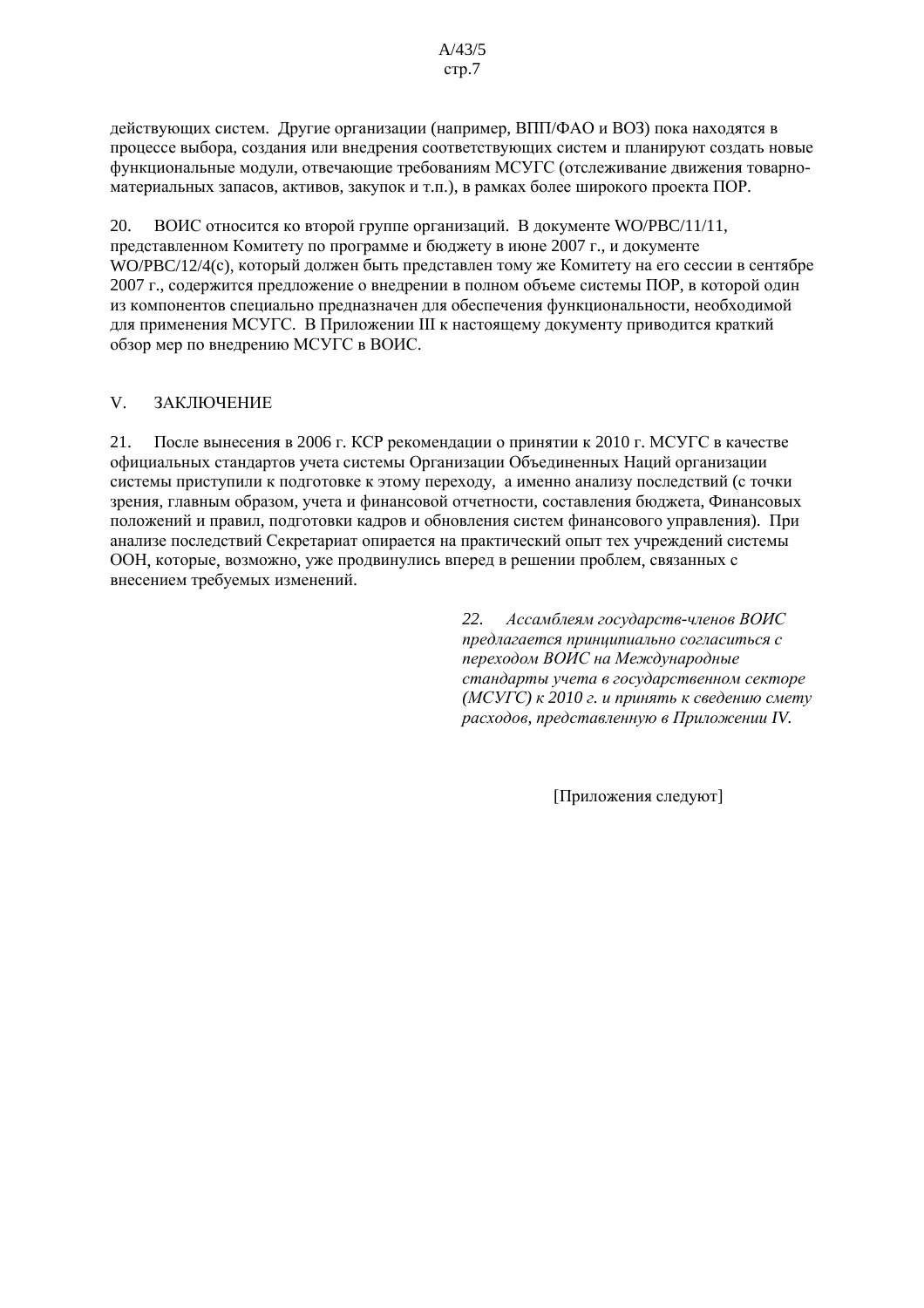действующих систем. Другие организации (например, ВПП/ФАО и ВОЗ) пока находятся в процессе выбора, создания или внедрения соответствующих систем и планируют создать новые функциональные модули, отвечающие требованиям МСУГС (отслеживание движения товарноматериальных запасов, активов, закупок и т.п.), в рамках более широкого проекта ПОР.

20. ВОИС относится ко второй группе организаций. В документе WO/PBC/11/11, представленном Комитету по программе и бюджету в июне 2007 г., и документе WO/PBC/12/4(c), который лолжен быть прелставлен тому же Комитету на его сессии в сентябре 2007 г., содержится предложение о внедрении в полном объеме системы ПОР, в которой один из компонентов специально предназначен для обеспечения функциональности, необходимой для применения МСУГС. В Приложении III к настоящему документу приводится краткий обзор мер по внедрению МСУГС в ВОИС.

#### $V_{\parallel}$ **ЗАКЛЮЧЕНИЕ**

21. После вынесения в 2006 г. КСР рекомендации о принятии к 2010 г. МСУГС в качестве официальных стандартов учета системы Организации Объединенных Наций организации системы приступили к подготовке к этому переходу, а именно анализу последствий (с точки зрения, главным образом, учета и финансовой отчетности, составления бюджета, Финансовых положений и правил, подготовки кадров и обновления систем финансового управления). При анализе последствий Секретариат опирается на практический опыт тех учреждений системы ООН, которые, возможно, уже продвинулись вперед в решении проблем, связанных с внесением требуемых изменений.

> 22. Ассамблеям государств-членов ВОИС предлагается приницииально согласиться с переходом ВОИС на Международные стандарты учета в государственном секторе (МСУГС) к 2010 г. и принять к сведению смету расходов, представленную в Приложении IV.

> > Приложения следуют]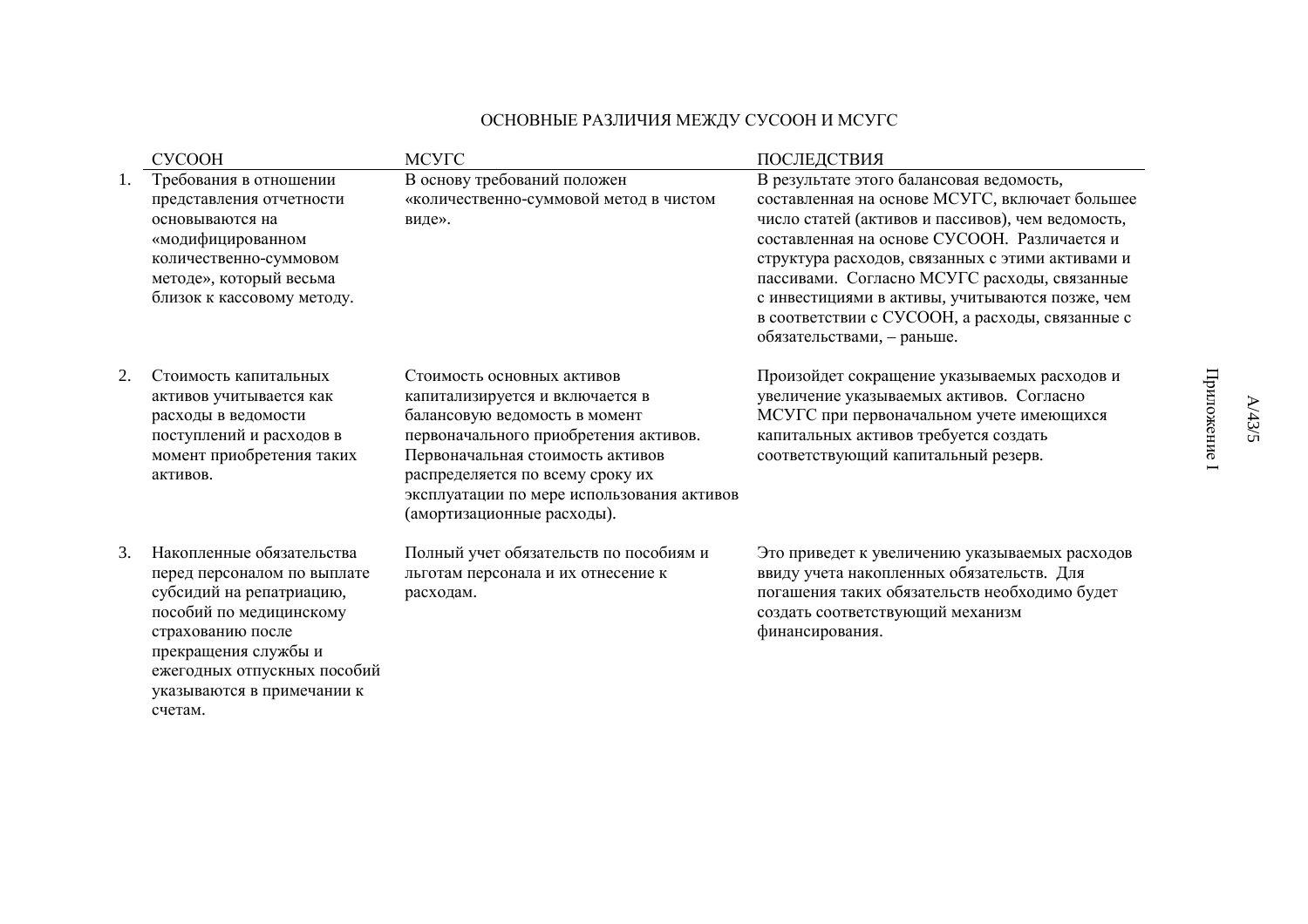## ОСНОВНЫЕ РАЗЛИЧИЯ МЕЖДУ СУСООН И МСУГС

|    | <b>CVCOOH</b>                                                                                                                                                                                                                        | <b>MCYTC</b>                                                                                                                                                                                                                                                                                | ПОСЛЕДСТВИЯ                                                                                                                                                                                                                                                                                                                                                                                                                             |
|----|--------------------------------------------------------------------------------------------------------------------------------------------------------------------------------------------------------------------------------------|---------------------------------------------------------------------------------------------------------------------------------------------------------------------------------------------------------------------------------------------------------------------------------------------|-----------------------------------------------------------------------------------------------------------------------------------------------------------------------------------------------------------------------------------------------------------------------------------------------------------------------------------------------------------------------------------------------------------------------------------------|
| Ī. | Требования в отношении<br>представления отчетности<br>основываются на<br>«модифицированном<br>количественно-суммовом<br>методе», который весьма<br>близок к кассовому методу.                                                        | В основу требований положен<br>«количественно-суммовой метод в чистом<br>виде».                                                                                                                                                                                                             | В результате этого балансовая ведомость,<br>составленная на основе МСУГС, включает большее<br>число статей (активов и пассивов), чем ведомость,<br>составленная на основе СУСООН. Различается и<br>структура расходов, связанных с этими активами и<br>пассивами. Согласно МСУГС расходы, связанные<br>с инвестициями в активы, учитываются позже, чем<br>в соответствии с СУСООН, а расходы, связанные с<br>обязательствами, - раньше. |
| 2. | Стоимость капитальных<br>активов учитывается как<br>расходы в ведомости<br>поступлений и расходов в<br>момент приобретения таких<br>активов.                                                                                         | Стоимость основных активов<br>капитализируется и включается в<br>балансовую ведомость в момент<br>первоначального приобретения активов.<br>Первоначальная стоимость активов<br>распределяется по всему сроку их<br>эксплуатации по мере использования активов<br>(амортизационные расходы). | Произойдет сокращение указываемых расходов и<br>увеличение указываемых активов. Согласно<br>МСУГС при первоначальном учете имеющихся<br>капитальных активов требуется создать<br>соответствующий капитальный резерв.                                                                                                                                                                                                                    |
| 3. | Накопленные обязательства<br>перед персоналом по выплате<br>субсидий на репатриацию,<br>пособий по медицинскому<br>страхованию после<br>прекращения службы и<br>ежегодных отпускных пособий<br>указываются в примечании к<br>счетам. | Полный учет обязательств по пособиям и<br>льготам персонала и их отнесение к<br>расходам.                                                                                                                                                                                                   | Это приведет к увеличению указываемых расходов<br>ввиду учета накопленных обязательств. Для<br>погашения таких обязательств необходимо будет<br>создать соответствующий механизм<br>финансирования.                                                                                                                                                                                                                                     |

Приложение I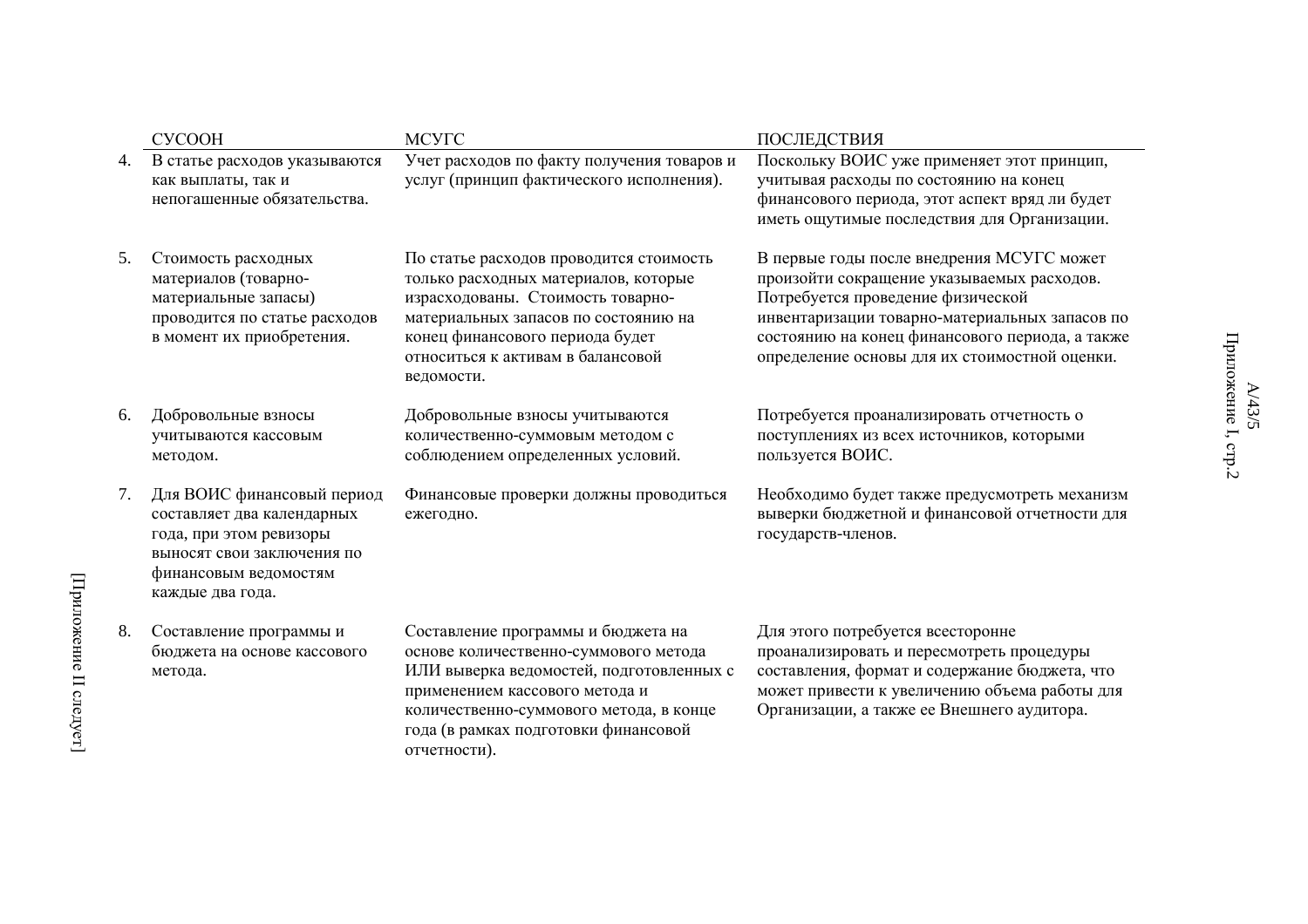|    | <b>CVCOOH</b>                                                                                                                                                  | <b>MCYTC</b>                                                                                                                                                                                                                                                 | ПОСЛЕДСТВИЯ                                                                                                                                                                                                                                                                        |
|----|----------------------------------------------------------------------------------------------------------------------------------------------------------------|--------------------------------------------------------------------------------------------------------------------------------------------------------------------------------------------------------------------------------------------------------------|------------------------------------------------------------------------------------------------------------------------------------------------------------------------------------------------------------------------------------------------------------------------------------|
| 4. | В статье расходов указываются<br>как выплаты, так и<br>непогашенные обязательства.                                                                             | Учет расходов по факту получения товаров и<br>услуг (принцип фактического исполнения).                                                                                                                                                                       | Поскольку ВОИС уже применяет этот принцип,<br>учитывая расходы по состоянию на конец<br>финансового периода, этот аспект вряд ли будет<br>иметь ощутимые последствия для Организации.                                                                                              |
| 5. | Стоимость расходных<br>материалов (товарно-<br>материальные запасы)<br>проводится по статье расходов<br>в момент их приобретения.                              | По статье расходов проводится стоимость<br>только расходных материалов, которые<br>израсходованы. Стоимость товарно-<br>материальных запасов по состоянию на<br>конец финансового периода будет<br>относиться к активам в балансовой<br>ведомости.           | В первые годы после внедрения МСУГС может<br>произойти сокращение указываемых расходов.<br>Потребуется проведение физической<br>инвентаризации товарно-материальных запасов по<br>состоянию на конец финансового периода, а также<br>определение основы для их стоимостной оценки. |
| 6. | Добровольные взносы<br>учитываются кассовым<br>методом.                                                                                                        | Добровольные взносы учитываются<br>количественно-суммовым методом с<br>соблюдением определенных условий.                                                                                                                                                     | Потребуется проанализировать отчетность о<br>поступлениях из всех источников, которыми<br>пользуется ВОИС.                                                                                                                                                                         |
| 7. | Для ВОИС финансовый период<br>составляет два календарных<br>года, при этом ревизоры<br>выносят свои заключения по<br>финансовым ведомостям<br>каждые два года. | Финансовые проверки должны проводиться<br>ежегодно.                                                                                                                                                                                                          | Необходимо будет также предусмотреть механизм<br>выверки бюджетной и финансовой отчетности для<br>государств-членов.                                                                                                                                                               |
| 8. | Составление программы и<br>бюджета на основе кассового<br>метода.                                                                                              | Составление программы и бюджета на<br>основе количественно-суммового метода<br>ИЛИ выверка ведомостей, подготовленных с<br>применением кассового метода и<br>количественно-суммового метода, в конце<br>года (в рамках подготовки финансовой<br>отчетности). | Для этого потребуется всесторонне<br>проанализировать и пересмотреть процедуры<br>составления, формат и содержание бюджета, что<br>может привести к увеличению объема работы для<br>Организации, а также ее Внешнего аудитора.                                                     |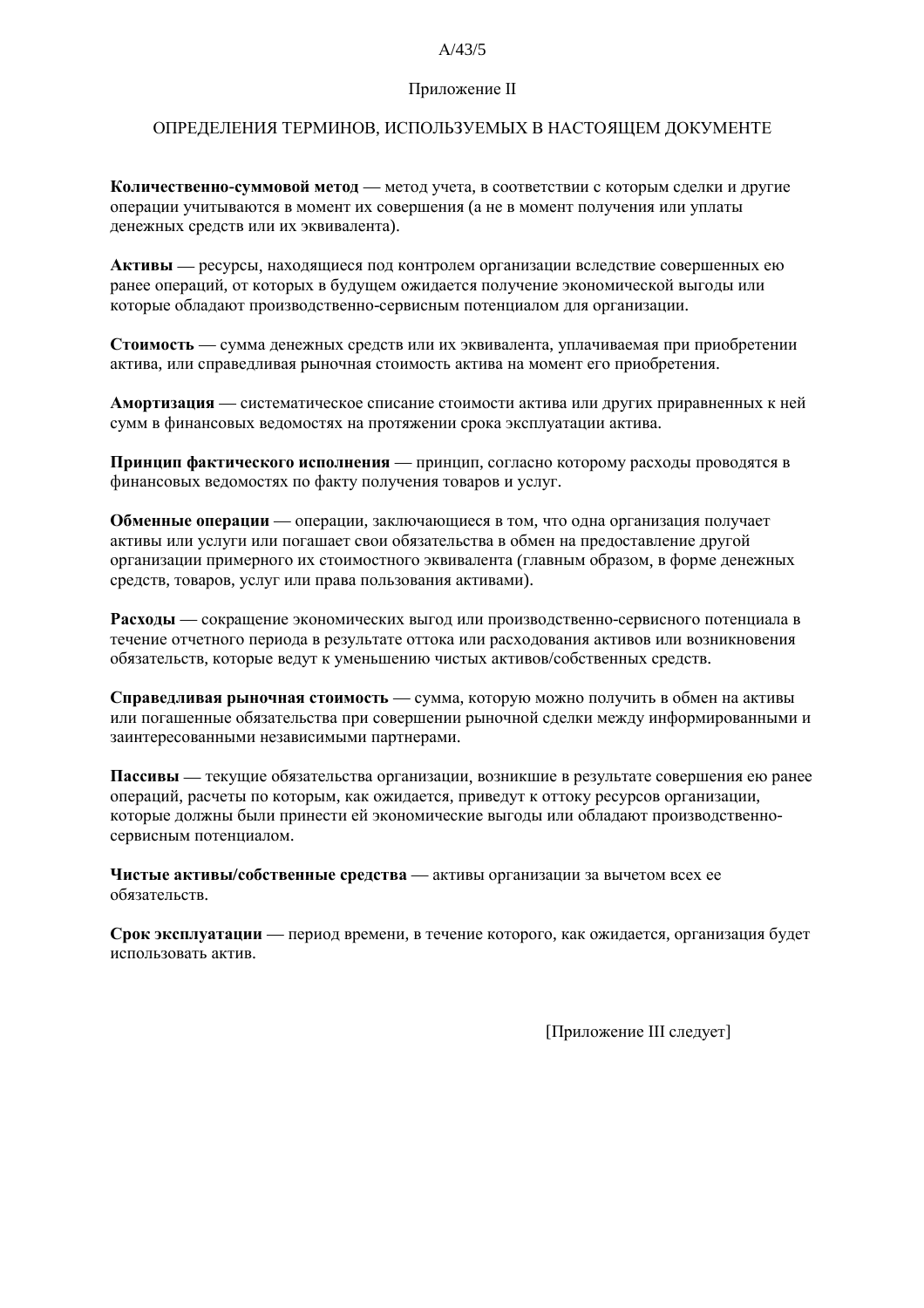#### $\Lambda$  /13/5

#### Приложение II

#### ОПРЕДЕЛЕНИЯ ТЕРМИНОВ, ИСПОЛЬЗУЕМЫХ В НАСТОЯЩЕМ ДОКУМЕНТЕ

Количественно-суммовой метод — метод учета, в соответствии с которым сделки и другие операции учитываются в момент их совершения (а не в момент получения или уплаты денежных средств или их эквивалента).

Активы — ресурсы, находящиеся под контролем организации вследствие совершенных ею ранее операций, от которых в будущем ожидается получение экономической выгоды или которые обладают производственно-сервисным потенциалом для организации.

Стоимость — сумма денежных средств или их эквивалента, уплачиваемая при приобретении актива, или справедливая рыночная стоимость актива на момент его приобретения.

Амортизация — систематическое списание стоимости актива или других приравненных к ней сумм в финансовых ведомостях на протяжении срока эксплуатации актива.

Принцип фактического исполнения — принцип, согласно которому расходы проводятся в финансовых ведомостях по факту получения товаров и услуг.

Обменные операции — операции, заключающиеся в том, что одна организация получает активы или услуги или погашает свои обязательства в обмен на предоставление другой организации примерного их стоимостного эквивалента (главным образом, в форме денежных средств, товаров, услуг или права пользования активами).

Расходы — сокрашение экономических выгод или производственно-сервисного потенциала в течение отчетного периода в результате оттока или расходования активов или возникновения обязательств, которые ведут к уменьшению чистых активов/собственных средств.

Справедливая рыночная стоимость - сумма, которую можно получить в обмен на активы или погашенные обязательства при совершении рыночной сделки между информированными и заинтересованными независимыми партнерами.

Пассивы — текущие обязательства организации, возникшие в результате совершения ею ранее операций, расчеты по которым, как ожидается, приведут к оттоку ресурсов организации, которые должны были принести ей экономические выгоды или обладают производственносервисным потенциалом.

Чистые активы/собственные средства - активы организации за вычетом всех ее обязательств.

Срок эксплуатации — период времени, в течение которого, как ожидается, организация будет использовать актив.

[Приложение III следует]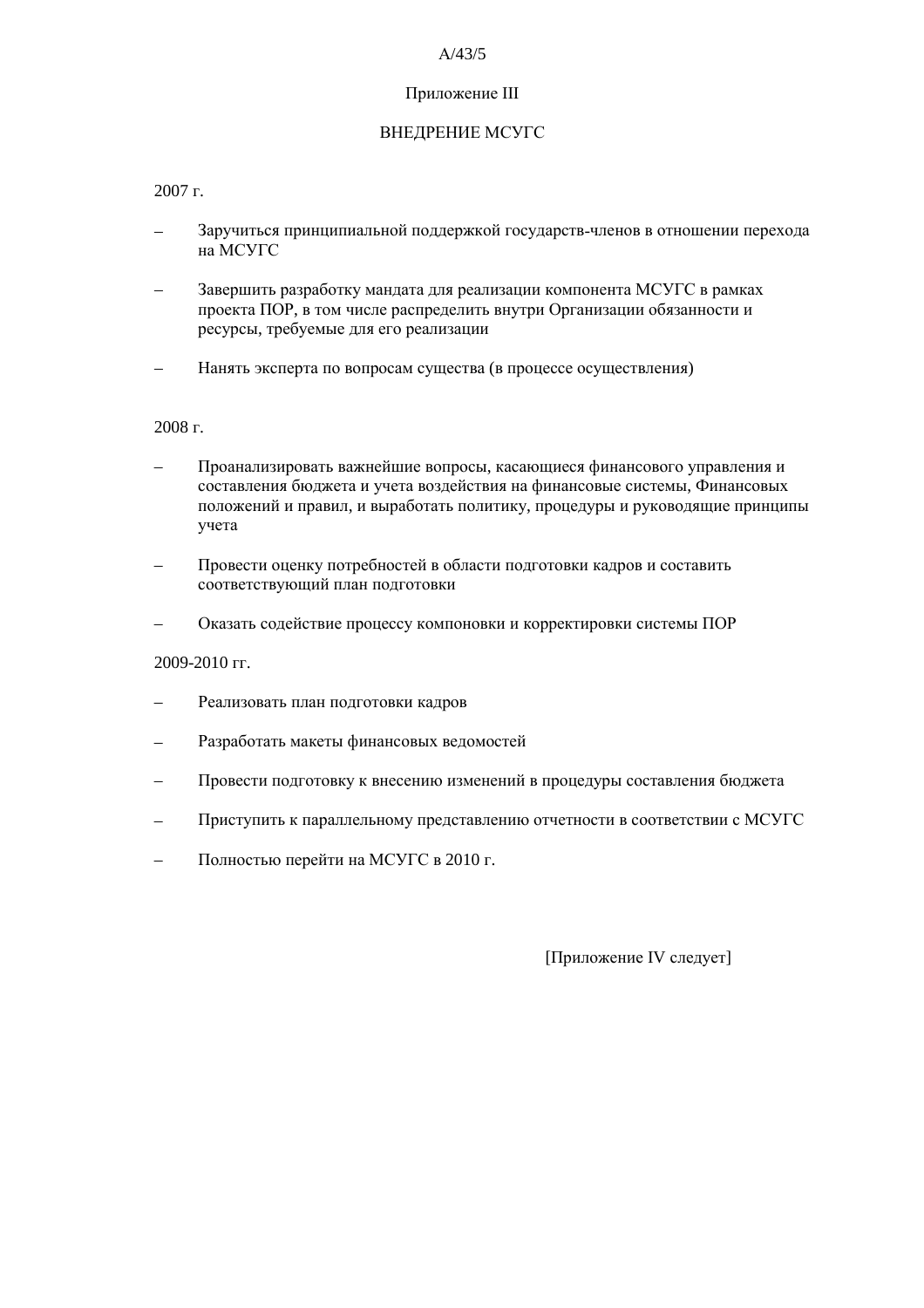#### $A/43/5$

#### Приложение III

## ВНЕДРЕНИЕ МСУГС

 $2007$  r.

- Заручиться принципиальной поддержкой государств-членов в отношении перехода на МСУГС
- Завершить разработку мандата для реализации компонента МСУГС в рамках проекта ПОР, в том числе распределить внутри Организации обязанности и ресурсы, требуемые для его реализации
- Нанять эксперта по вопросам существа (в процессе осуществления)

2008 г.

- Проанализировать важнейшие вопросы, касающиеся финансового управления и составления бюджета и учета воздействия на финансовые системы, Финансовых положений и правил, и выработать политику, процедуры и руководящие принципы учета
- Провести оценку потребностей в области подготовки кадров и составить соответствующий план подготовки
- Оказать содействие процессу компоновки и корректировки системы ПОР

2009-2010 гг.

- Реализовать план подготовки кадров
- Разработать макеты финансовых ведомостей  $\overline{\phantom{0}}$
- Провести подготовку к внесению изменений в процедуры составления бюджета
- Приступить к параллельному представлению отчетности в соответствии с МСУГС
- Полностью перейти на МСУГС в 2010 г.

[Приложение IV следует]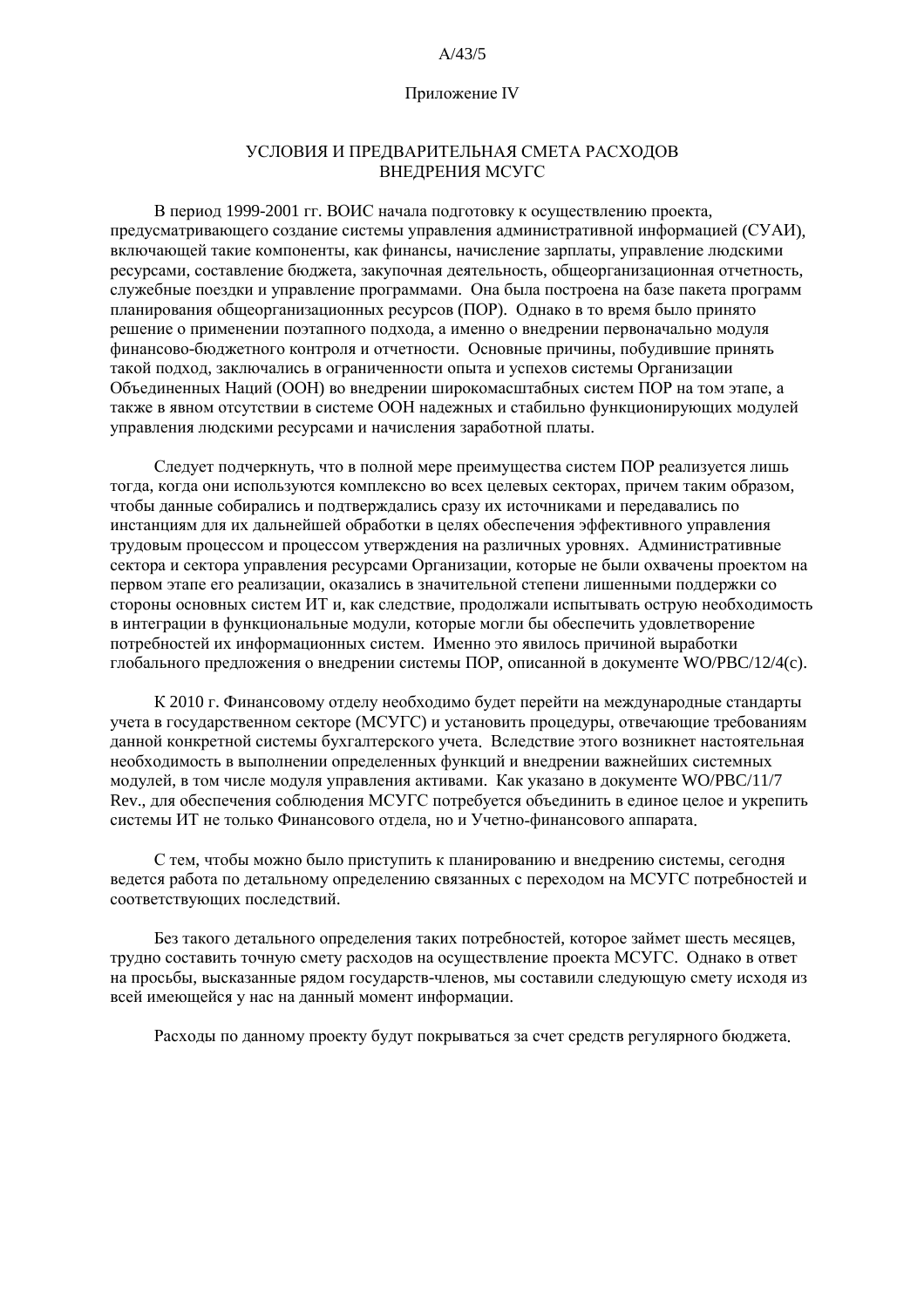#### $A/43/5$

#### Приложение IV

#### УСЛОВИЯ И ПРЕЛВАРИТЕЛЬНАЯ СМЕТА РАСХОЛОВ **ВНЕДРЕНИЯ МСУГС**

В период 1999-2001 гг. ВОИС начала подготовку к осуществлению проекта, предусматривающего создание системы управления административной информацией (СУАИ), включающей такие компоненты, как финансы, начисление зарплаты, управление людскими ресурсами, составление бюлжета, закупочная леятельность, общеорганизационная отчетность, служебные поездки и управление программами. Она была построена на базе пакета программ планирования общеорганизационных ресурсов (ПОР). Однако в то время было принято решение о применении поэтапного подхода, а именно о внедрении первоначально модуля финансово-бюджетного контроля и отчетности. Основные причины, побудившие принять такой подход, заключались в ограниченности опыта и успехов системы Организации Объелиненных Напий (ООН) во внелрении широкомасштабных систем ПОР на том этапе, а также в явном отсутствии в системе ООН надежных и стабильно функционирующих модулей управления людскими ресурсами и начисления заработной платы.

Следует подчеркнуть, что в полной мере преимущества систем ПОР реализуется лишь тогда, когда они используются комплексно во всех целевых секторах, причем таким образом, чтобы данные собирались и подтверждались сразу их источниками и передавались по инстанциям для их дальнейшей обработки в целях обеспечения эффективного управления трудовым процессом и процессом утверждения на различных уровнях. Административные сектора и сектора управления ресурсами Организации, которые не были охвачены проектом на первом этапе его реализации, оказались в значительной степени лишенными поддержки со стороны основных систем ИТ и, как следствие, продолжали испытывать острую необходимость в интеграции в функциональные молули, которые могли бы обеспечить удовлетворение потребностей их информационных систем. Именно это явилось причиной выработки глобального предложения о внедрении системы ПОР, описанной в документе WO/PBC/12/4(c).

К 2010 г. Финансовому отделу необходимо будет перейти на международные стандарты учета в государственном секторе (МСУГС) и установить процедуры, отвечающие требованиям ланной конкретной системы бухгалтерского учета. Вследствие этого возникнет настоятельная необходимость в выполнении определенных функций и внедрении важнейших системных модулей, в том числе модуля управления активами. Как указано в документе WO/PBC/11/7 Rev., для обеспечения соблюдения МСУГС потребуется объединить в единое целое и укрепить системы ИТ не только Финансового отдела, но и Учетно-финансового аппарата.

С тем, чтобы можно было приступить к планированию и внедрению системы, сегодня ведется работа по детальному определению связанных с переходом на МСУГС потребностей и соответствующих последствий.

Без такого детального определения таких потребностей, которое займет шесть месяцев, трудно составить точную смету расходов на осуществление проекта МСУГС. Однако в ответ на просьбы, высказанные рядом государств-членов, мы составили следующую смету исходя из всей имеющейся у нас на данный момент информации.

Расходы по данному проекту будут покрываться за счет средств регулярного бюджета.